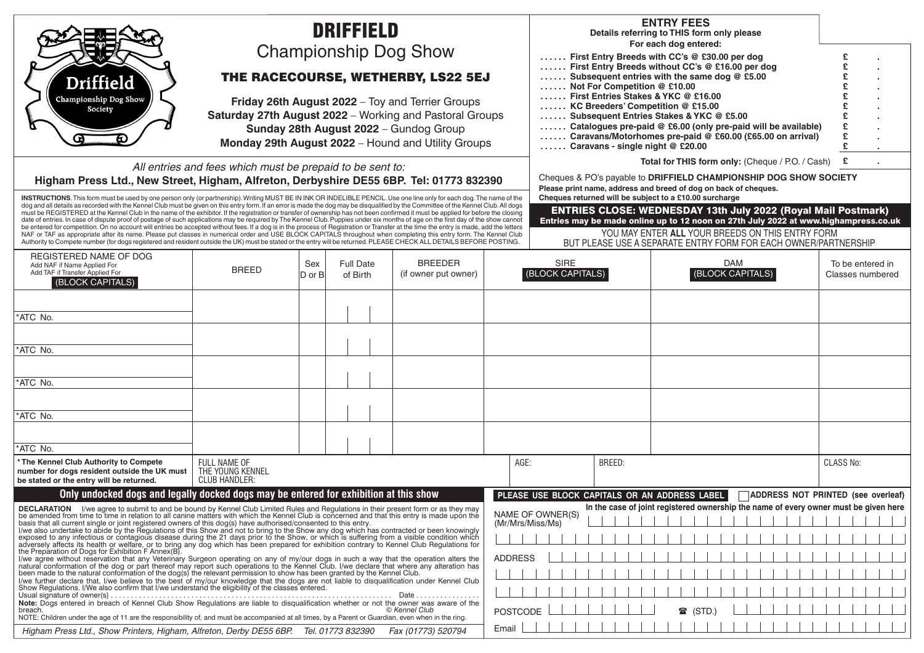| Driffield<br>Championship Dog Show<br>Society                                                                                                                                                                                                                                                                                                                                                                                                                                                                                                                                                                                                                                                                                                                                                                                                                                                                                                                                                                                                                                                                                                                                                                                                                                                                                                                                                                                                                                                                                                                                                                                   | DRIFFIELD<br><b>Championship Dog Show</b><br>THE RACECOURSE, WETHERBY, LS22 5EJ<br>Friday 26th August 2022 - Toy and Terrier Groups<br>Saturday 27th August 2022 - Working and Pastoral Groups<br>Sunday 28th August 2022 - Gundog Group<br>Monday 29th August 2022 - Hound and Utility Groups |                          |                              |  |  |                                        |                                                                                                                              |                                                                 | Details referring to THIS form only please<br>First Entry Breeds with CC's @ £30.00 per dog<br>First Entry Breeds without CC's @ £16.00 per dog<br>Subsequent entries with the same dog @ £5.00<br>Not For Competition @ £10.00<br>First Entries Stakes & YKC @ £16.00<br>KC Breeders' Competition @ £15.00<br>Subsequent Entries Stakes & YKC @ £5.00<br>Catalogues pre-paid @ £6.00 (only pre-paid will be available)<br>Caravans/Motorhomes pre-paid @ £60.00 (£65.00 on arrival)<br>Caravans - single night @ £20.00 |        |                                               |  |                                      |
|---------------------------------------------------------------------------------------------------------------------------------------------------------------------------------------------------------------------------------------------------------------------------------------------------------------------------------------------------------------------------------------------------------------------------------------------------------------------------------------------------------------------------------------------------------------------------------------------------------------------------------------------------------------------------------------------------------------------------------------------------------------------------------------------------------------------------------------------------------------------------------------------------------------------------------------------------------------------------------------------------------------------------------------------------------------------------------------------------------------------------------------------------------------------------------------------------------------------------------------------------------------------------------------------------------------------------------------------------------------------------------------------------------------------------------------------------------------------------------------------------------------------------------------------------------------------------------------------------------------------------------|------------------------------------------------------------------------------------------------------------------------------------------------------------------------------------------------------------------------------------------------------------------------------------------------|--------------------------|------------------------------|--|--|----------------------------------------|------------------------------------------------------------------------------------------------------------------------------|-----------------------------------------------------------------|--------------------------------------------------------------------------------------------------------------------------------------------------------------------------------------------------------------------------------------------------------------------------------------------------------------------------------------------------------------------------------------------------------------------------------------------------------------------------------------------------------------------------|--------|-----------------------------------------------|--|--------------------------------------|
| All entries and fees which must be prepaid to be sent to:                                                                                                                                                                                                                                                                                                                                                                                                                                                                                                                                                                                                                                                                                                                                                                                                                                                                                                                                                                                                                                                                                                                                                                                                                                                                                                                                                                                                                                                                                                                                                                       |                                                                                                                                                                                                                                                                                                |                          |                              |  |  |                                        |                                                                                                                              |                                                                 | Total for THIS form only: (Cheque / P.O. / Cash)<br>£<br>Cheques & PO's payable to DRIFFIELD CHAMPIONSHIP DOG SHOW SOCIETY                                                                                                                                                                                                                                                                                                                                                                                               |        |                                               |  |                                      |
| Higham Press Ltd., New Street, Higham, Alfreton, Derbyshire DE55 6BP. Tel: 01773 832390                                                                                                                                                                                                                                                                                                                                                                                                                                                                                                                                                                                                                                                                                                                                                                                                                                                                                                                                                                                                                                                                                                                                                                                                                                                                                                                                                                                                                                                                                                                                         |                                                                                                                                                                                                                                                                                                |                          |                              |  |  |                                        |                                                                                                                              | Please print name, address and breed of dog on back of cheques. |                                                                                                                                                                                                                                                                                                                                                                                                                                                                                                                          |        |                                               |  |                                      |
| Cheques returned will be subject to a £10.00 surcharge<br>INSTRUCTIONS. This form must be used by one person only (or partnership). Writing MUST BE IN INK OR INDELIBLE PENCIL. Use one line only for each dog. The name of the<br>dog and all details as recorded with the Kennel Club must be given on this entry form. If an error is made the dog may be disqualified by the Committee of the Kennel Club. All dogs<br><b>ENTRIES CLOSE: WEDNESDAY 13th July 2022 (Royal Mail Postmark)</b><br>must be REGISTERED at the Kennel Club in the name of the exhibitor. If the registration or transfer of ownership has not been confirmed it must be applied for before the closing<br>Entries may be made online up to 12 noon on 27th July 2022 at www.highampress.co.uk<br>date of entries. In case of dispute proof of postage of such applications may be required by The Kennel Club. Puppies under six months of age on the first day of the show cannot<br>be entered for competition. On no account will entries be accepted without fees. If a dog is in the process of Registration or Transfer at the time the entry is made, add the letters<br>YOU MAY ENTER ALL YOUR BREEDS ON THIS ENTRY FORM<br>NAF or TAF as appropriate after its name. Please put classes in numerical order and USE BLOCK CAPITALS throughout when completing this entry form. The Kennel Club<br>Authority to Compete number (for dogs registered and resident outside the UK) must be stated or the entry will be returned. PLEASE CHECK ALL DETAILS BEFORE POSTING.<br>BUT PLEASE USE A SEPARATE ENTRY FORM FOR EACH OWNER/PARTNERSHIP |                                                                                                                                                                                                                                                                                                |                          |                              |  |  |                                        |                                                                                                                              |                                                                 |                                                                                                                                                                                                                                                                                                                                                                                                                                                                                                                          |        |                                               |  |                                      |
| REGISTERED NAME OF DOG<br>Add NAF if Name Applied For<br>Add TAF if Transfer Applied For<br>(BLOCK CAPITALS)                                                                                                                                                                                                                                                                                                                                                                                                                                                                                                                                                                                                                                                                                                                                                                                                                                                                                                                                                                                                                                                                                                                                                                                                                                                                                                                                                                                                                                                                                                                    | <b>BREED</b>                                                                                                                                                                                                                                                                                   | Sex<br>$D$ or $B$        | <b>Full Date</b><br>of Birth |  |  | <b>BREEDER</b><br>(if owner put owner) |                                                                                                                              | SIRE<br>(BLOCK CAPITALS)                                        |                                                                                                                                                                                                                                                                                                                                                                                                                                                                                                                          |        | DAM<br>(BLOCK CAPITALS)                       |  | To be entered in<br>Classes numbered |
|                                                                                                                                                                                                                                                                                                                                                                                                                                                                                                                                                                                                                                                                                                                                                                                                                                                                                                                                                                                                                                                                                                                                                                                                                                                                                                                                                                                                                                                                                                                                                                                                                                 |                                                                                                                                                                                                                                                                                                |                          |                              |  |  |                                        |                                                                                                                              |                                                                 |                                                                                                                                                                                                                                                                                                                                                                                                                                                                                                                          |        |                                               |  |                                      |
| *ATC No.                                                                                                                                                                                                                                                                                                                                                                                                                                                                                                                                                                                                                                                                                                                                                                                                                                                                                                                                                                                                                                                                                                                                                                                                                                                                                                                                                                                                                                                                                                                                                                                                                        |                                                                                                                                                                                                                                                                                                |                          |                              |  |  |                                        |                                                                                                                              |                                                                 |                                                                                                                                                                                                                                                                                                                                                                                                                                                                                                                          |        |                                               |  |                                      |
| *ATC No.                                                                                                                                                                                                                                                                                                                                                                                                                                                                                                                                                                                                                                                                                                                                                                                                                                                                                                                                                                                                                                                                                                                                                                                                                                                                                                                                                                                                                                                                                                                                                                                                                        |                                                                                                                                                                                                                                                                                                |                          |                              |  |  |                                        |                                                                                                                              |                                                                 |                                                                                                                                                                                                                                                                                                                                                                                                                                                                                                                          |        |                                               |  |                                      |
| *ATC No.                                                                                                                                                                                                                                                                                                                                                                                                                                                                                                                                                                                                                                                                                                                                                                                                                                                                                                                                                                                                                                                                                                                                                                                                                                                                                                                                                                                                                                                                                                                                                                                                                        |                                                                                                                                                                                                                                                                                                |                          |                              |  |  |                                        |                                                                                                                              |                                                                 |                                                                                                                                                                                                                                                                                                                                                                                                                                                                                                                          |        |                                               |  |                                      |
|                                                                                                                                                                                                                                                                                                                                                                                                                                                                                                                                                                                                                                                                                                                                                                                                                                                                                                                                                                                                                                                                                                                                                                                                                                                                                                                                                                                                                                                                                                                                                                                                                                 |                                                                                                                                                                                                                                                                                                |                          |                              |  |  |                                        |                                                                                                                              |                                                                 |                                                                                                                                                                                                                                                                                                                                                                                                                                                                                                                          |        |                                               |  |                                      |
| *ATC No.                                                                                                                                                                                                                                                                                                                                                                                                                                                                                                                                                                                                                                                                                                                                                                                                                                                                                                                                                                                                                                                                                                                                                                                                                                                                                                                                                                                                                                                                                                                                                                                                                        |                                                                                                                                                                                                                                                                                                |                          |                              |  |  |                                        |                                                                                                                              |                                                                 |                                                                                                                                                                                                                                                                                                                                                                                                                                                                                                                          |        |                                               |  |                                      |
|                                                                                                                                                                                                                                                                                                                                                                                                                                                                                                                                                                                                                                                                                                                                                                                                                                                                                                                                                                                                                                                                                                                                                                                                                                                                                                                                                                                                                                                                                                                                                                                                                                 |                                                                                                                                                                                                                                                                                                |                          |                              |  |  |                                        |                                                                                                                              |                                                                 |                                                                                                                                                                                                                                                                                                                                                                                                                                                                                                                          |        |                                               |  |                                      |
| *ATC No.                                                                                                                                                                                                                                                                                                                                                                                                                                                                                                                                                                                                                                                                                                                                                                                                                                                                                                                                                                                                                                                                                                                                                                                                                                                                                                                                                                                                                                                                                                                                                                                                                        |                                                                                                                                                                                                                                                                                                |                          |                              |  |  |                                        |                                                                                                                              |                                                                 |                                                                                                                                                                                                                                                                                                                                                                                                                                                                                                                          |        |                                               |  |                                      |
| * The Kennel Club Authority to Compete<br>number for dogs resident outside the UK must<br>be stated or the entry will be returned.                                                                                                                                                                                                                                                                                                                                                                                                                                                                                                                                                                                                                                                                                                                                                                                                                                                                                                                                                                                                                                                                                                                                                                                                                                                                                                                                                                                                                                                                                              | <b>FULL NAME OF</b><br>THE YOUNG KENNEL<br><b>CLUB HANDLER:</b>                                                                                                                                                                                                                                |                          |                              |  |  |                                        | AGE:                                                                                                                         |                                                                 |                                                                                                                                                                                                                                                                                                                                                                                                                                                                                                                          | BREED: |                                               |  | <b>CLASS No:</b>                     |
| Only undocked dogs and legally docked dogs may be entered for exhibition at this show                                                                                                                                                                                                                                                                                                                                                                                                                                                                                                                                                                                                                                                                                                                                                                                                                                                                                                                                                                                                                                                                                                                                                                                                                                                                                                                                                                                                                                                                                                                                           |                                                                                                                                                                                                                                                                                                |                          |                              |  |  |                                        |                                                                                                                              |                                                                 |                                                                                                                                                                                                                                                                                                                                                                                                                                                                                                                          |        | PLEASE USE BLOCK CAPITALS OR AN ADDRESS LABEL |  | ADDRESS NOT PRINTED (see overleaf)   |
| DECLARATION I/we agree to submit to and be bound by Kennel Club Limited Rules and Regulations in their present form or as they may be amended from time to time in relation to all canine matters with which the Kennel Club i<br>basis that all current single or joint registered owners of this dog(s) have authorised/consented to this entry.<br>I/we also undertake to abide by the Regulations of this Show and not to bring to the Show any dog which has contracted or been knowingly<br>exposed to any infectious or contagious disease during the 21 days prior to the Show, or which is suffering from a visible condition which<br>adversely affects its health or welfare, or to bring any dog which has been prepared for exhibition contrary to Kennel Club Regulations for<br>the Preparation of Dogs for Exhibition F Annex(B).<br>I/we agree without reservation that any Veterinary Surgeon operating on any of my/our dogs in such a way that the operation alters the natural conformation of the dog or part thereof may report such operations to the Kenne                                                                                                                                                                                                                                                                                                                                                                                                                                                                                                                                             |                                                                                                                                                                                                                                                                                                |                          |                              |  |  |                                        | In the case of joint registered ownership the name of every owner must be given here<br>NAME OF OWNER(S)<br>(Mr/Mrs/Miss/Ms) |                                                                 |                                                                                                                                                                                                                                                                                                                                                                                                                                                                                                                          |        |                                               |  |                                      |
|                                                                                                                                                                                                                                                                                                                                                                                                                                                                                                                                                                                                                                                                                                                                                                                                                                                                                                                                                                                                                                                                                                                                                                                                                                                                                                                                                                                                                                                                                                                                                                                                                                 |                                                                                                                                                                                                                                                                                                |                          |                              |  |  |                                        | <b>ADDRESS</b>                                                                                                               |                                                                 |                                                                                                                                                                                                                                                                                                                                                                                                                                                                                                                          |        |                                               |  |                                      |
| been made to the natural conformation of the dog(s) the relevant permission to show has been granted by the Kennel Club.<br>I/we further declare that, I/we believe to the best of my/our knowledge that the dogs are not liable to disqualification under Kennel Club<br>Show Regulations. I/We also confirm that I/we understand the eligibility of the classes entered.<br>Note: Dogs entered in breach of Kennel Club Show Regulations are liable to disgualification whether or not the owner was aware of the<br>© Kennel Club<br>breach.<br>NOTE: Children under the age of 11 are the responsibility of, and must be accompanied at all times, by a Parent or Guardian, even when in the ring.                                                                                                                                                                                                                                                                                                                                                                                                                                                                                                                                                                                                                                                                                                                                                                                                                                                                                                                          |                                                                                                                                                                                                                                                                                                |                          |                              |  |  |                                        |                                                                                                                              |                                                                 |                                                                                                                                                                                                                                                                                                                                                                                                                                                                                                                          |        |                                               |  |                                      |
|                                                                                                                                                                                                                                                                                                                                                                                                                                                                                                                                                                                                                                                                                                                                                                                                                                                                                                                                                                                                                                                                                                                                                                                                                                                                                                                                                                                                                                                                                                                                                                                                                                 |                                                                                                                                                                                                                                                                                                |                          |                              |  |  |                                        |                                                                                                                              | POSTCODE                                                        |                                                                                                                                                                                                                                                                                                                                                                                                                                                                                                                          |        | $\overline{\mathbf{r}}$<br>(STD.              |  |                                      |
| Higham Press Ltd., Show Printers, Higham, Alfreton, Derby DE55 6BP.                                                                                                                                                                                                                                                                                                                                                                                                                                                                                                                                                                                                                                                                                                                                                                                                                                                                                                                                                                                                                                                                                                                                                                                                                                                                                                                                                                                                                                                                                                                                                             |                                                                                                                                                                                                                                                                                                | <i>Tel. 01773 832390</i> |                              |  |  | Fax (01773) 520794                     | Email                                                                                                                        |                                                                 |                                                                                                                                                                                                                                                                                                                                                                                                                                                                                                                          |        |                                               |  |                                      |